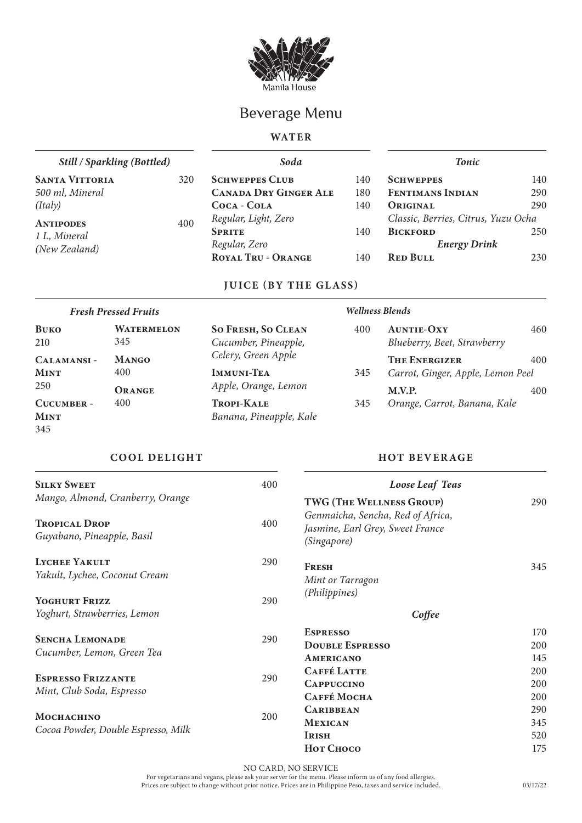

# Beverage Menu

## **WAT E R**

| <b>Still / Sparkling (Bottled)</b> |     | Soda                         |     | Tonic                               |     |  |
|------------------------------------|-----|------------------------------|-----|-------------------------------------|-----|--|
| <b>SANTA VITTORIA</b>              | 320 | <b>SCHWEPPES CLUB</b>        | 140 | <b>SCHWEPPES</b>                    | 140 |  |
| 500 ml, Mineral                    |     | <b>CANADA DRY GINGER ALE</b> | 180 | <b>FENTIMANS INDIAN</b>             | 290 |  |
| (Italy)                            |     | COCA - COLA                  | 140 | ORIGINAL                            | 290 |  |
| <b>ANTIPODES</b>                   | 400 | Regular, Light, Zero         |     | Classic, Berries, Citrus, Yuzu Ocha |     |  |
| 1 L, Mineral                       |     | <b>SPRITE</b>                | 140 | <b>BICKFORD</b>                     | 250 |  |
| (New Zealand)                      |     | Regular, Zero                |     | <b>Energy Drink</b>                 |     |  |
|                                    |     | <b>ROYAL TRU - ORANGE</b>    | 140 | <b>RED BULL</b>                     | 230 |  |
|                                    |     |                              |     |                                     |     |  |

# **JUICE (BY THE GLASS)**

| <b>Fresh Pressed Fruits</b> |                   | <b>Wellness Blends</b>    |     |                                   |     |
|-----------------------------|-------------------|---------------------------|-----|-----------------------------------|-----|
| <b>BUKO</b>                 | <b>WATERMELON</b> | <b>SO FRESH, SO CLEAN</b> | 400 | <b>AUNTIE-OXY</b>                 | 460 |
| 210                         | 345               | Cucumber, Pineapple,      |     | Blueberry, Beet, Strawberry       |     |
| CALAMANSI-                  | <b>MANGO</b>      | Celery, Green Apple       |     | <b>THE ENERGIZER</b>              | 400 |
| <b>MINT</b>                 | 400               | <b>IMMUNI-TEA</b>         | 345 | Carrot, Ginger, Apple, Lemon Peel |     |
| 250                         | ORANGE            | Apple, Orange, Lemon      |     | M.V.P.                            | 400 |
| CUCUMBER -                  | 400               | <b>TROPI-KALE</b>         | 345 | Orange, Carrot, Banana, Kale      |     |
| <b>MINT</b>                 |                   | Banana, Pineapple, Kale   |     |                                   |     |

345

### **COOL DELIGHT HOT BEVERAGE**

| <b>SILKY SWEET</b>                                 | 400                                                                                         | Loose Leaf Teas          |     |  |
|----------------------------------------------------|---------------------------------------------------------------------------------------------|--------------------------|-----|--|
| Mango, Almond, Cranberry, Orange                   |                                                                                             | TWG (THE WELLNESS GROUP) | 290 |  |
| <b>TROPICAL DROP</b><br>Guyabano, Pineapple, Basil | Genmaicha, Sencha, Red of Africa,<br>400<br>Jasmine, Earl Grey, Sweet France<br>(Singapore) |                          |     |  |
| <b>LYCHEE YAKULT</b>                               | 290                                                                                         | <b>FRESH</b>             | 345 |  |
| Yakult, Lychee, Coconut Cream                      |                                                                                             | Mint or Tarragon         |     |  |
|                                                    |                                                                                             | (Philippines)            |     |  |
| YOGHURT FRIZZ                                      | 290                                                                                         |                          |     |  |
| Yoghurt, Strawberries, Lemon                       |                                                                                             | Coffee                   |     |  |
| <b>SENCHA LEMONADE</b>                             | 290                                                                                         | <b>ESPRESSO</b>          | 170 |  |
|                                                    |                                                                                             | <b>DOUBLE ESPRESSO</b>   | 200 |  |
| Cucumber, Lemon, Green Tea                         |                                                                                             | AMERICANO                | 145 |  |
|                                                    |                                                                                             | <b>CAFFÉ LATTE</b>       | 200 |  |
| <b>ESPRESSO FRIZZANTE</b>                          | 290                                                                                         | <b>CAPPUCCINO</b>        | 200 |  |
| Mint, Club Soda, Espresso                          |                                                                                             | САҒҒЕ Мосна              | 200 |  |
|                                                    |                                                                                             | <b>CARIBBEAN</b>         | 290 |  |
| <b>MOCHACHINO</b>                                  | 200                                                                                         | <b>MEXICAN</b>           | 345 |  |
| Cocoa Powder, Double Espresso, Milk                |                                                                                             | <b>IRISH</b>             | 520 |  |
|                                                    |                                                                                             | Нот Сносо                | 175 |  |

NO CARD, NO SERVICE For vegetarians and vegans, please ask your server for the menu. Please inform us of any food allergies.

Prices are subject to change without prior notice. Prices are in Philippine Peso, taxes and service included.